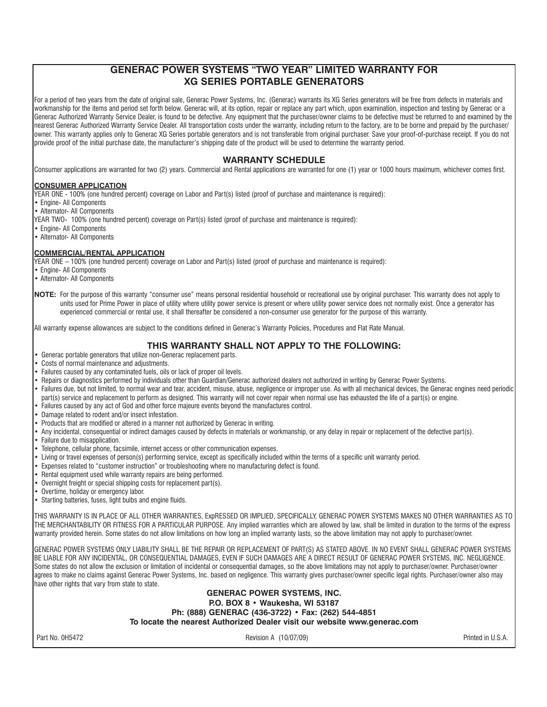# **GENERAC POWER SYSTEMS "TWO YEAR" LIMITED WARRANTY FOR XG SERIES PORTABLE GENERATORS**

For a period of two years from the date of original sale, Generac Power Systems, Inc. (Generac) warrants its XG Series generators will be free from defects in materials and workmanship for the items and period set forth below. Generac will, at its option, repair or replace any part which, upon examination, inspection and testing by Generac or a Generac Authorized Warranty Service Dealer, is found to be defective. Any equipment that the purchaser/owner claims to be defective must be returned to and examined by the nearest Generac Authorized Warranty Service Dealer. All transportation costs under the warranty, including return to the factory, are to be borne and prepaid by the purchaser/ owner. This warranty applies only to Generac XG Series portable generators and is not transferable from original purchaser. Save your proof-of-purchase receipt. If you do not provide proof of the initial purchase date, the manufacturer's shipping date of the product will be used to determine the warranty period.

# **WARRANTY SCHEDULE**

Consumer applications are warranted for two (2) years. Commercial and Rental applications are warranted for one (1) year or 1000 hours maximum, whichever comes first.

## **CONSUMER APPLICATION**

YEAR ONE - 100% (one hundred percent) coverage on Labor and Part(s) listed (proof of purchase and maintenance is required):

- Engine- All Components
- Alternator- All Components
- YEAR TWO- 100% (one hundred percent) coverage on Part(s) listed (proof of purchase and maintenance is required):
- Engine- All Components
- Alternator- All Components

## **COMMERCIAL/RENTAL APPLICATION**

YEAR ONE – 100% (one hundred percent) coverage on Labor and Part(s) listed (proof of purchase and maintenance is required):

- Engine- All Components
- Alternator- All Components
- **NOTE:** For the purpose of this warranty "consumer use" means personal residential household or recreational use by original purchaser. This warranty does not apply to units used for Prime Power in place of utility where utility power service is present or where utility power service does not normally exist. Once a generator has experienced commercial or rental use, it shall thereafter be considered a non-consumer use generator for the purpose of this warranty.

All warranty expense allowances are subject to the conditions defined in Generac's Warranty Policies, Procedures and Flat Rate Manual.

# **THIS WARRANTY SHALL NOT APPLY TO THE FOLLOWING:**

- Generac portable generators that utilize non-Generac replacement parts.
- Costs of normal maintenance and adjustments.
- Failures caused by any contaminated fuels, oils or lack of proper oil levels.
- Repairs or diagnostics performed by individuals other than Guardian/Generac authorized dealers not authorized in writing by Generac Power Systems.
- Failures due, but not limited, to normal wear and tear, accident, misuse, abuse, negligence or improper use. As with all mechanical devices, the Generac engines need periodic part(s) service and replacement to perform as designed. This warranty will not cover repair when normal use has exhausted the life of a part(s) or engine.
- Failures caused by any act of God and other force majeure events beyond the manufactures control.
- Damage related to rodent and/or insect infestation.
- Products that are modified or altered in a manner not authorized by Generac in writing.
- Any incidental, consequential or indirect damages caused by defects in materials or workmanship, or any delay in repair or replacement of the defective part(s).
- Failure due to misapplication.
- Telephone, cellular phone, facsimile, internet access or other communication expenses.
- Living or travel expenses of person(s) performing service, except as specifically included within the terms of a specific unit warranty period.
- Expenses related to "customer instruction" or troubleshooting where no manufacturing defect is found.
- Rental equipment used while warranty repairs are being performed.
- Overnight freight or special shipping costs for replacement part(s).
- Overtime, holiday or emergency labor.
- Starting batteries, fuses, light bulbs and engine fluids.

THIS WARRANTY IS IN PLACE OF ALL OTHER WARRANTIES, ExpRESSED OR IMPLIED, SPECIFICALLY, GENERAC POWER SYSTEMS MAKES NO OTHER WARRANTIES AS TO THE MERCHANTABILITY OR FITNESS FOR A PARTICULAR PURPOSE. Any implied warranties which are allowed by law, shall be limited in duration to the terms of the express warranty provided herein. Some states do not allow limitations on how long an implied warranty lasts, so the above limitation may not apply to purchaser/owner.

GENERAC POWER SYSTEMS ONLY LIABILITY SHALL BE THE REPAIR OR REPLACEMENT OF PART(S) AS STATED ABOVE. IN NO EVENT SHALL GENERAC POWER SYSTEMS BE LIABLE FOR ANY INCIDENTAL, OR CONSEQUENTIAL DAMAGES, EVEN IF SUCH DAMAGES ARE A DIRECT RESULT OF GENERAC POWER SYSTEMS, INC. NEGLIGENCE. Some states do not allow the exclusion or limitation of incidental or consequential damages, so the above limitations may not apply to purchaser/owner. Purchaser/owner agrees to make no claims against Generac Power Systems, Inc. based on negligence. This warranty gives purchaser/owner specific legal rights. Purchaser/owner also may have other rights that vary from state to state.

## **GENERAC POWER SYSTEMS, INC. P.O. BOX 8 • Waukesha, WI 53187 Ph: (888) GENERAC (436-3722) • Fax: (262) 544-4851 To locate the nearest Authorized Dealer visit our website www.generac.com**

Part No. 0H5472 Part No. 0H5472 Part No. 0H5472 Part No. 0H5472 Printed in U.S.A.